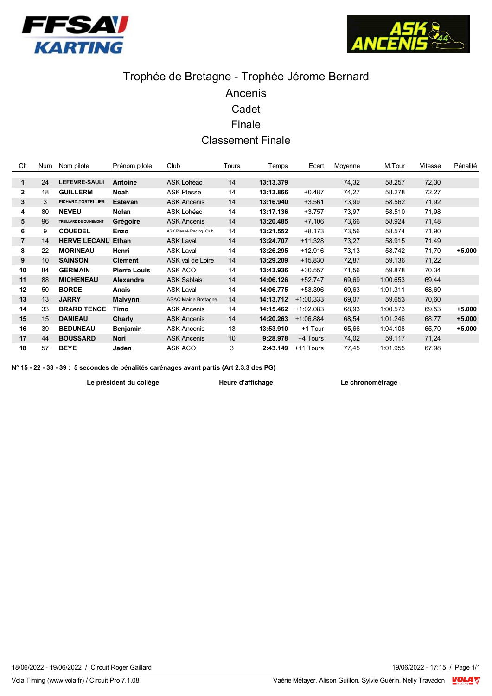



# Trophée de Bretagne - Trophée Jérome Bernard Ancenis Cadet Finale **Classement Finale**

| Clt            | Num | Nom pilote                    | Prénom pilote       | Club                       | Tours | Temps     | Ecart       | Moyenne | M.Tour   | Vitesse | Pénalité |
|----------------|-----|-------------------------------|---------------------|----------------------------|-------|-----------|-------------|---------|----------|---------|----------|
|                |     |                               |                     |                            |       |           |             |         |          |         |          |
| 1              | 24  | <b>LEFEVRE-SAULI</b>          | Antoine             | ASK Lohéac                 | 14    | 13:13.379 |             | 74,32   | 58.257   | 72,30   |          |
| $\mathbf{2}$   | 18  | <b>GUILLERM</b>               | <b>Noah</b>         | <b>ASK Plesse</b>          | 14    | 13:13.866 | $+0.487$    | 74,27   | 58.278   | 72,27   |          |
| 3              | 3   | PICHARD-TORTELLIER            | <b>Estevan</b>      | <b>ASK Ancenis</b>         | 14    | 13:16.940 | $+3.561$    | 73,99   | 58.562   | 71,92   |          |
| 4              | 80  | <b>NEVEU</b>                  | <b>Nolan</b>        | ASK Lohéac                 | 14    | 13:17.136 | $+3.757$    | 73,97   | 58.510   | 71,98   |          |
| 5              | 96  | <b>TREILLARD DE QUINEMONT</b> | Grégoire            | <b>ASK Ancenis</b>         | 14    | 13:20.485 | $+7.106$    | 73,66   | 58.924   | 71,48   |          |
| 6              | 9   | <b>COUEDEL</b>                | Enzo                | ASK Plessé Racing Club     | 14    | 13:21.552 | $+8.173$    | 73,56   | 58.574   | 71,90   |          |
| $\overline{7}$ | 14  | <b>HERVE LECANU</b>           | Ethan               | <b>ASK Laval</b>           | 14    | 13:24.707 | $+11.328$   | 73,27   | 58.915   | 71,49   |          |
| 8              | 22  | <b>MORINEAU</b>               | Henri               | <b>ASK Laval</b>           | 14    | 13:26.295 | $+12.916$   | 73,13   | 58.742   | 71,70   | $+5.000$ |
| 9              | 10  | <b>SAINSON</b>                | <b>Clément</b>      | ASK val de Loire           | 14    | 13:29.209 | $+15.830$   | 72,87   | 59.136   | 71,22   |          |
| 10             | 84  | <b>GERMAIN</b>                | <b>Pierre Louis</b> | ASK ACO                    | 14    | 13:43.936 | $+30.557$   | 71,56   | 59.878   | 70,34   |          |
| 11             | 88  | <b>MICHENEAU</b>              | <b>Alexandre</b>    | <b>ASK Sablais</b>         | 14    | 14:06.126 | $+52.747$   | 69,69   | 1:00.653 | 69,44   |          |
| 12             | 50  | <b>BORDE</b>                  | Anais               | <b>ASK Laval</b>           | 14    | 14:06.775 | +53.396     | 69,63   | 1:01.311 | 68,69   |          |
| 13             | 13  | <b>JARRY</b>                  | <b>Malvynn</b>      | <b>ASAC Maine Bretagne</b> | 14    | 14:13.712 | $+1:00.333$ | 69,07   | 59.653   | 70,60   |          |
| 14             | 33  | <b>BRARD TENCE</b>            | Timo                | <b>ASK Ancenis</b>         | 14    | 14:15.462 | $+1:02.083$ | 68,93   | 1:00.573 | 69,53   | $+5.000$ |
| 15             | 15  | <b>DANIEAU</b>                | Charly              | <b>ASK Ancenis</b>         | 14    | 14:20.263 | $+1:06.884$ | 68,54   | 1:01.246 | 68,77   | $+5.000$ |
| 16             | 39  | <b>BEDUNEAU</b>               | Benjamin            | <b>ASK Ancenis</b>         | 13    | 13:53.910 | +1 Tour     | 65,66   | 1:04.108 | 65,70   | $+5.000$ |
| 17             | 44  | <b>BOUSSARD</b>               | Nori                | <b>ASK Ancenis</b>         | 10    | 9:28.978  | +4 Tours    | 74,02   | 59.117   | 71,24   |          |
| 18             | 57  | <b>BEYE</b>                   | Jaden               | ASK ACO                    | 3     | 2:43.149  | +11 Tours   | 77,45   | 1:01.955 | 67,98   |          |

N° 15 - 22 - 33 - 39 : 5 secondes de pénalités carénages avant partis (Art 2.3.3 des PG)

Le président du collège

Heure d'affichage

Le chronométrage

19/06/2022 - 17:15 / Page 1/1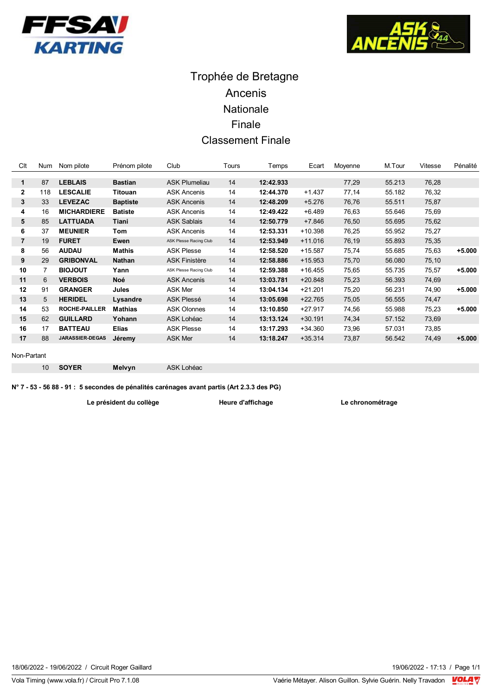



## Trophée de Bretagne Ancenis Nationale Finale **Classement Finale**

| Clt            | <b>Num</b> | Nom pilote             | Prénom pilote   | Club                   | Tours | Temps     | Ecart     | Moyenne | M.Tour | Vitesse | Pénalité |
|----------------|------------|------------------------|-----------------|------------------------|-------|-----------|-----------|---------|--------|---------|----------|
|                |            |                        |                 |                        |       |           |           |         |        |         |          |
| 1              | 87         | <b>LEBLAIS</b>         | <b>Bastian</b>  | <b>ASK Plumeliau</b>   | 14    | 12:42.933 |           | 77,29   | 55.213 | 76,28   |          |
| 2              | 118        | <b>LESCALIE</b>        | Titouan         | <b>ASK Ancenis</b>     | 14    | 12:44.370 | $+1.437$  | 77,14   | 55.182 | 76,32   |          |
| 3              | 33         | <b>LEVEZAC</b>         | <b>Baptiste</b> | <b>ASK Ancenis</b>     | 14    | 12:48.209 | $+5.276$  | 76,76   | 55.511 | 75,87   |          |
| 4              | 16         | <b>MICHARDIERE</b>     | <b>Batiste</b>  | <b>ASK Ancenis</b>     | 14    | 12:49.422 | $+6.489$  | 76,63   | 55.646 | 75,69   |          |
| 5              | 85         | <b>LATTUADA</b>        | Tiani           | <b>ASK Sablais</b>     | 14    | 12:50.779 | $+7.846$  | 76,50   | 55.695 | 75,62   |          |
| 6              | 37         | <b>MEUNIER</b>         | Tom             | <b>ASK Ancenis</b>     | 14    | 12:53.331 | $+10.398$ | 76,25   | 55.952 | 75,27   |          |
| $\overline{7}$ | 19         | <b>FURET</b>           | Ewen            | ASK Plesse Racing Club | 14    | 12:53.949 | $+11.016$ | 76,19   | 55.893 | 75,35   |          |
| 8              | 56         | <b>AUDAU</b>           | <b>Mathis</b>   | <b>ASK Plesse</b>      | 14    | 12:58.520 | $+15.587$ | 75,74   | 55.685 | 75,63   | $+5.000$ |
| 9              | 29         | <b>GRIBONVAL</b>       | <b>Nathan</b>   | <b>ASK Finistère</b>   | 14    | 12:58.886 | $+15.953$ | 75,70   | 56.080 | 75,10   |          |
| 10             | 7          | <b>BIOJOUT</b>         | Yann            | ASK Plesse Racing Club | 14    | 12:59.388 | $+16.455$ | 75,65   | 55.735 | 75,57   | $+5.000$ |
| 11             | 6          | <b>VERBOIS</b>         | <b>Noé</b>      | <b>ASK Ancenis</b>     | 14    | 13:03.781 | $+20.848$ | 75,23   | 56.393 | 74,69   |          |
| 12             | 91         | <b>GRANGER</b>         | Jules           | <b>ASK Mer</b>         | 14    | 13:04.134 | $+21.201$ | 75,20   | 56.231 | 74,90   | $+5.000$ |
| 13             | 5          | <b>HERIDEL</b>         | Lysandre        | <b>ASK Plessé</b>      | 14    | 13:05.698 | $+22.765$ | 75,05   | 56.555 | 74,47   |          |
| 14             | 53         | <b>ROCHE-PAILLER</b>   | <b>Mathias</b>  | <b>ASK Olonnes</b>     | 14    | 13:10.850 | $+27.917$ | 74,56   | 55.988 | 75,23   | $+5.000$ |
| 15             | 62         | <b>GUILLARD</b>        | Yohann          | ASK Lohéac             | 14    | 13:13.124 | $+30.191$ | 74,34   | 57.152 | 73,69   |          |
| 16             | 17         | <b>BATTEAU</b>         | <b>Elias</b>    | <b>ASK Plesse</b>      | 14    | 13:17.293 | $+34.360$ | 73,96   | 57.031 | 73,85   |          |
| 17             | 88         | <b>JARASSIER-DEGAS</b> | Jéremy          | <b>ASK Mer</b>         | 14    | 13:18.247 | $+35.314$ | 73,87   | 56.542 | 74,49   | $+5.000$ |
|                |            |                        |                 |                        |       |           |           |         |        |         |          |

#### Non-Partant

SOYER  $10$ 

ASK Lohéac

N° 7 - 53 - 56 88 - 91 : 5 secondes de pénalités carénages avant partis (Art 2.3.3 des PG)

Le président du collège

Melvyn

Heure d'affichage

Le chronométrage

18/06/2022 - 19/06/2022 / Circuit Roger Gaillard

Vola Timing (www.vola.fr) / Circuit Pro 7.1.08

19/06/2022 - 17:13 / Page 1/1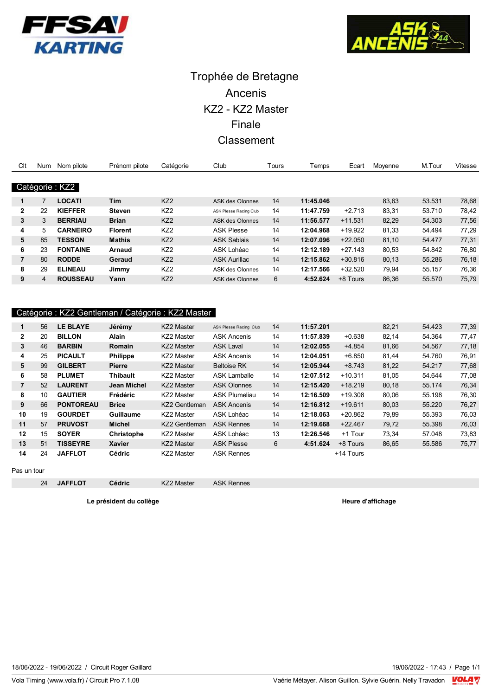



# Trophée de Bretagne Ancenis KZ2 - KZ2 Master Finale Classement

| Clt            | <b>Num</b> | Nom pilote      | Prénom pilote  | Catégorie       | Club                   | Tours | Temps     | Ecart     | Moyenne | M.Tour | Vitesse |
|----------------|------------|-----------------|----------------|-----------------|------------------------|-------|-----------|-----------|---------|--------|---------|
|                |            |                 |                |                 |                        |       |           |           |         |        |         |
|                |            | Catégorie: KZ2  |                |                 |                        |       |           |           |         |        |         |
| 1              |            | <b>LOCATI</b>   | <b>Tim</b>     | KZ <sub>2</sub> | ASK des Olonnes        | 14    | 11:45.046 |           | 83,63   | 53.531 | 78,68   |
| $\mathbf{2}$   | 22         | <b>KIEFFER</b>  | <b>Steven</b>  | KZ <sub>2</sub> | ASK Plesse Racing Club | 14    | 11:47.759 | $+2.713$  | 83,31   | 53.710 | 78,42   |
| 3              | 3          | <b>BERRIAU</b>  | <b>Brian</b>   | KZ <sub>2</sub> | ASK des Olonnes        | 14    | 11:56.577 | $+11.531$ | 82,29   | 54.303 | 77,56   |
| 4              | 5          | <b>CARNEIRO</b> | <b>Florent</b> | KZ <sub>2</sub> | <b>ASK Plesse</b>      | 14    | 12:04.968 | $+19.922$ | 81,33   | 54.494 | 77,29   |
| 5              | 85         | <b>TESSON</b>   | <b>Mathis</b>  | KZ <sub>2</sub> | <b>ASK Sablais</b>     | 14    | 12:07.096 | $+22.050$ | 81,10   | 54.477 | 77,31   |
| 6              | 23         | <b>FONTAINE</b> | <b>Arnaud</b>  | KZ <sub>2</sub> | ASK Lohéac             | 14    | 12:12.189 | $+27.143$ | 80,53   | 54.842 | 76,80   |
| $\overline{7}$ | 80         | <b>RODDE</b>    | Geraud         | KZ <sub>2</sub> | <b>ASK Aurillac</b>    | 14    | 12:15.862 | $+30.816$ | 80.13   | 55.286 | 76,18   |
| 8              | 29         | <b>ELINEAU</b>  | Jimmy          | KZ <sub>2</sub> | ASK des Olonnes        | 14    | 12:17.566 | $+32.520$ | 79.94   | 55.157 | 76,36   |
| 9              | 4          | <b>ROUSSEAU</b> | Yann           | KZ <sub>2</sub> | ASK des Olonnes        | 6     | 4:52.624  | +8 Tours  | 86.36   | 55.570 | 75,79   |

### Catégorie : KZ2 Gentleman / Catégorie : KZ2 Master

|                | 56 | LE BLAYE         | Jérémy            | KZ2 Master           | <b>ASK Plesse Racing Club</b> | 14 | 11:57.201 |           | 82,21 | 54.423 | 77,39 |
|----------------|----|------------------|-------------------|----------------------|-------------------------------|----|-----------|-----------|-------|--------|-------|
| $\mathbf{2}$   | 20 | <b>BILLON</b>    | <b>Alain</b>      | KZ2 Master           | <b>ASK Ancenis</b>            | 14 | 11:57.839 | $+0.638$  | 82,14 | 54.364 | 77,47 |
| 3              | 46 | <b>BARBIN</b>    | Romain            | <b>KZ2 Master</b>    | <b>ASK Laval</b>              | 14 | 12:02.055 | $+4.854$  | 81,66 | 54.567 | 77,18 |
| 4              | 25 | <b>PICAULT</b>   | <b>Philippe</b>   | KZ2 Master           | <b>ASK Ancenis</b>            | 14 | 12:04.051 | +6.850    | 81,44 | 54.760 | 76,91 |
| 5              | 99 | <b>GILBERT</b>   | <b>Pierre</b>     | <b>KZ2 Master</b>    | <b>Beltoise RK</b>            | 14 | 12:05.944 | $+8.743$  | 81,22 | 54.217 | 77,68 |
| 6              | 58 | <b>PLUMET</b>    | <b>Thibault</b>   | KZ2 Master           | <b>ASK Lamballe</b>           | 14 | 12:07.512 | $+10.311$ | 81,05 | 54.644 | 77,08 |
| $\overline{7}$ | 52 | <b>LAURENT</b>   | Jean Michel       | KZ2 Master           | <b>ASK Olonnes</b>            | 14 | 12:15.420 | $+18.219$ | 80,18 | 55.174 | 76,34 |
| 8              | 10 | <b>GAUTIER</b>   | Frédéric          | KZ2 Master           | <b>ASK Plumeliau</b>          | 14 | 12:16.509 | +19.308   | 80,06 | 55.198 | 76,30 |
| 9              | 66 | <b>PONTOREAU</b> | <b>Brice</b>      | <b>KZ2 Gentleman</b> | <b>ASK Ancenis</b>            | 14 | 12:16.812 | $+19.611$ | 80,03 | 55.220 | 76,27 |
| 10             | 19 | <b>GOURDET</b>   | <b>Guillaume</b>  | KZ2 Master           | ASK Lohéac                    | 14 | 12:18.063 | $+20.862$ | 79.89 | 55.393 | 76,03 |
| 11             | 57 | <b>PRUVOST</b>   | <b>Michel</b>     | <b>KZ2 Gentleman</b> | <b>ASK Rennes</b>             | 14 | 12:19.668 | $+22.467$ | 79,72 | 55.398 | 76,03 |
| 12             | 15 | <b>SOYER</b>     | <b>Christophe</b> | KZ2 Master           | ASK Lohéac                    | 13 | 12:26.546 | +1 Tour   | 73.34 | 57.048 | 73,83 |
| 13             | 51 | <b>TISSEYRE</b>  | <b>Xavier</b>     | KZ2 Master           | <b>ASK Plesse</b>             | 6  | 4:51.624  | +8 Tours  | 86,65 | 55.586 | 75,77 |
| 14             | 24 | <b>JAFFLOT</b>   | <b>Cédric</b>     | KZ2 Master           | <b>ASK Rennes</b>             |    |           | +14 Tours |       |        |       |

Pas un tour

24

**JAFFLOT** 

KZ2 Master

Cédric

Le président du collège

**ASK Rennes** 

Heure d'affichage

18/06/2022 - 19/06/2022 / Circuit Roger Gaillard

Vola Timing (www.vola.fr) / Circuit Pro 7.1.08

19/06/2022 - 17:43 / Page 1/1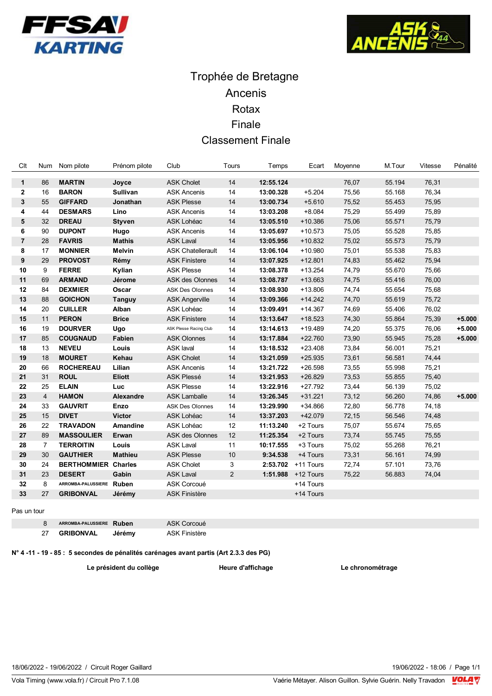



## Trophée de Bretagne Ancenis Rotax Finale **Classement Finale**

| Clt            | Num            | Nom pilote                 | Prénom pilote   | Club                     | Tours          | Temps     | Ecart     | Moyenne | M.Tour | Vitesse | Pénalité |
|----------------|----------------|----------------------------|-----------------|--------------------------|----------------|-----------|-----------|---------|--------|---------|----------|
|                |                |                            |                 |                          | 14             |           |           |         |        |         |          |
| $\mathbf{1}$   | 86             | <b>MARTIN</b>              | Joyce           | <b>ASK Cholet</b>        |                | 12:55.124 |           | 76,07   | 55.194 | 76,31   |          |
| $\mathbf{2}$   | 16             | <b>BARON</b>               | <b>Sullivan</b> | <b>ASK Ancenis</b>       | 14             | 13:00.328 | $+5.204$  | 75,56   | 55.168 | 76,34   |          |
| 3              | 55             | <b>GIFFARD</b>             | Jonathan        | <b>ASK Plesse</b>        | 14             | 13:00.734 | $+5.610$  | 75,52   | 55.453 | 75,95   |          |
| 4              | 44             | <b>DESMARS</b>             | Lino            | <b>ASK Ancenis</b>       | 14             | 13:03.208 | $+8.084$  | 75,29   | 55.499 | 75,89   |          |
| 5              | 32             | <b>DREAU</b>               | <b>Styven</b>   | ASK Lohéac               | 14             | 13:05.510 | $+10.386$ | 75,06   | 55.571 | 75,79   |          |
| 6              | 90             | <b>DUPONT</b>              | Hugo            | <b>ASK Ancenis</b>       | 14             | 13:05.697 | $+10.573$ | 75,05   | 55.528 | 75,85   |          |
| $\overline{7}$ | 28             | <b>FAVRIS</b>              | <b>Mathis</b>   | <b>ASK Laval</b>         | 14             | 13:05.956 | $+10.832$ | 75,02   | 55.573 | 75,79   |          |
| 8              | 17             | <b>MONNIER</b>             | Melvin          | <b>ASK Chatellerault</b> | 14             | 13:06.104 | $+10.980$ | 75,01   | 55.538 | 75,83   |          |
| 9              | 29             | <b>PROVOST</b>             | Rémy            | <b>ASK Finistere</b>     | 14             | 13:07.925 | $+12.801$ | 74,83   | 55.462 | 75,94   |          |
| 10             | 9              | <b>FERRE</b>               | Kylian          | <b>ASK Plesse</b>        | 14             | 13:08.378 | $+13.254$ | 74,79   | 55.670 | 75,66   |          |
| 11             | 69             | <b>ARMAND</b>              | Jérome          | <b>ASK des Olonnes</b>   | 14             | 13:08.787 | $+13.663$ | 74,75   | 55.416 | 76,00   |          |
| 12             | 84             | <b>DEXMIER</b>             | Oscar           | <b>ASK Des Olonnes</b>   | 14             | 13:08.930 | $+13.806$ | 74,74   | 55.654 | 75,68   |          |
| 13             | 88             | <b>GOICHON</b>             | Tanguy          | <b>ASK Angerville</b>    | 14             | 13:09.366 | $+14.242$ | 74,70   | 55.619 | 75,72   |          |
| 14             | 20             | <b>CUILLER</b>             | Alban           | ASK Lohéac               | 14             | 13:09.491 | $+14.367$ | 74,69   | 55.406 | 76,02   |          |
| 15             | 11             | <b>PERON</b>               | <b>Brice</b>    | <b>ASK Finistere</b>     | 14             | 13:13.647 | $+18.523$ | 74,30   | 55.864 | 75,39   | $+5.000$ |
| 16             | 19             | <b>DOURVER</b>             | Ugo             | ASK Plesse Racing Club   | 14             | 13:14.613 | $+19.489$ | 74,20   | 55.375 | 76,06   | $+5.000$ |
| 17             | 85             | <b>COUGNAUD</b>            | Fabien          | <b>ASK Olonnes</b>       | 14             | 13:17.884 | $+22.760$ | 73,90   | 55.945 | 75,28   | $+5.000$ |
| 18             | 13             | <b>NEVEU</b>               | Louis           | <b>ASK laval</b>         | 14             | 13:18.532 | $+23.408$ | 73,84   | 56.001 | 75,21   |          |
| 19             | 18             | <b>MOURET</b>              | Kehau           | <b>ASK Cholet</b>        | 14             | 13:21.059 | $+25.935$ | 73,61   | 56.581 | 74,44   |          |
| 20             | 66             | <b>ROCHEREAU</b>           | Lilian          | <b>ASK Ancenis</b>       | 14             | 13:21.722 | $+26.598$ | 73,55   | 55.998 | 75,21   |          |
| 21             | 31             | <b>ROUL</b>                | <b>Eliott</b>   | <b>ASK Plessé</b>        | 14             | 13:21.953 | $+26.829$ | 73,53   | 55.855 | 75,40   |          |
| 22             | 25             | <b>ELAIN</b>               | Luc             | <b>ASK Plesse</b>        | 14             | 13:22.916 | $+27.792$ | 73,44   | 56.139 | 75,02   |          |
| 23             | $\overline{4}$ | <b>HAMON</b>               | Alexandre       | <b>ASK Lamballe</b>      | 14             | 13:26.345 | $+31.221$ | 73,12   | 56.260 | 74,86   | $+5.000$ |
| 24             | 33             | <b>GAUVRIT</b>             | Enzo            | <b>ASK Des Olonnes</b>   | 14             | 13:29.990 | $+34.866$ | 72,80   | 56.778 | 74,18   |          |
| 25             | 15             | <b>DIVET</b>               | <b>Victor</b>   | ASK Lohéac               | 14             | 13:37.203 | +42.079   | 72,15   | 56.546 | 74,48   |          |
| 26             | 22             | <b>TRAVADON</b>            | Amandine        | ASK Lohéac               | 12             | 11:13.240 | +2 Tours  | 75,07   | 55.674 | 75,65   |          |
| 27             | 89             | <b>MASSOULIER</b>          | Erwan           | <b>ASK des Olonnes</b>   | 12             | 11:25.354 | +2 Tours  | 73,74   | 55.745 | 75,55   |          |
| 28             | $\overline{7}$ | <b>TERROITIN</b>           | Louis           | <b>ASK Laval</b>         | 11             | 10:17.555 | +3 Tours  | 75,02   | 55.268 | 76,21   |          |
| 29             | 30             | <b>GAUTHIER</b>            | <b>Mathieu</b>  | <b>ASK Plesse</b>        | 10             | 9:34.538  | +4 Tours  | 73,31   | 56.161 | 74,99   |          |
| 30             | 24             | <b>BERTHOMMIER Charles</b> |                 | <b>ASK Cholet</b>        | 3              | 2:53.702  | +11 Tours | 72,74   | 57.101 | 73,76   |          |
| 31             | 23             | <b>DESERT</b>              | Gabin           | <b>ASK Laval</b>         | $\overline{2}$ | 1:51.988  | +12 Tours | 75,22   | 56.883 | 74,04   |          |
| 32             | 8              | ARROMBA-PALUSSIERE Ruben   |                 | ASK Corcoué              |                |           | +14 Tours |         |        |         |          |
| 33             | 27             | <b>GRIBONVAL</b>           | Jérémy          | <b>ASK Finistère</b>     |                |           | +14 Tours |         |        |         |          |

Pas un tour

ASK Corcoué 8 ARROMBA-PALUSSIERE Ruben 27 **GRIBONVAL** Jérémy **ASK Finistère** 

N° 4 -11 - 19 - 85 : 5 secondes de pénalités carénages avant partis (Art 2.3.3 des PG)

Le président du collège

Heure d'affichage

Le chronométrage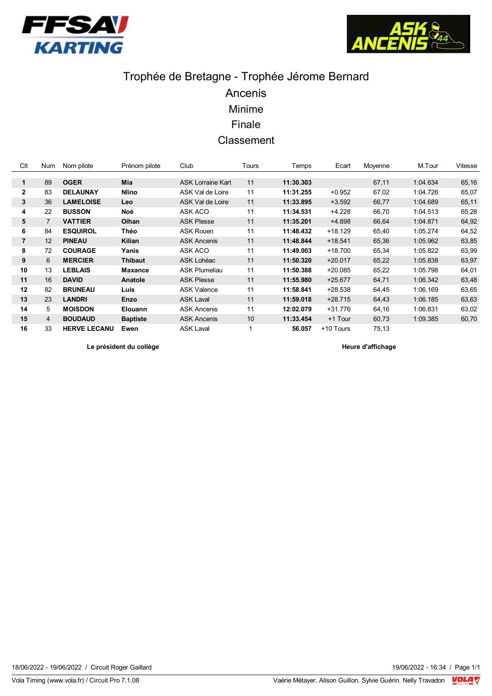



# Trophée de Bretagne - Trophée Jérome Bernard Ancenis Minime Finale Classement

| Clt            | Num | Nom pilote          | Prénom pilote   | Club                     | Tours | Temps     | Ecart     | Moyenne | M.Tour   | Vitesse |
|----------------|-----|---------------------|-----------------|--------------------------|-------|-----------|-----------|---------|----------|---------|
|                |     |                     |                 |                          |       |           |           |         |          |         |
| 1              | 89  | <b>OGER</b>         | Mia             | <b>ASK Lorraine Kart</b> | 11    | 11:30.303 |           | 67,11   | 1:04.634 | 65,16   |
| $\mathbf{2}$   | 83  | <b>DELAUNAY</b>     | <b>Nlino</b>    | ASK Val de Loire         | 11    | 11:31.255 | $+0.952$  | 67,02   | 1:04.726 | 65,07   |
| 3              | 36  | <b>LAMELOISE</b>    | <b>Leo</b>      | <b>ASK Val de Loire</b>  | 11    | 11:33.895 | $+3.592$  | 66,77   | 1:04.689 | 65,11   |
| 4              | 22  | <b>BUSSON</b>       | Noé             | ASK ACO                  | 11    | 11:34.531 | $+4.228$  | 66,70   | 1:04.513 | 65,28   |
| 5              | 7   | <b>VATTIER</b>      | Oihan           | <b>ASK Plesse</b>        | 11    | 11:35.201 | +4.898    | 66,64   | 1:04.871 | 64,92   |
| 6              | 84  | <b>ESQUIROL</b>     | Théo            | <b>ASK Rouen</b>         | 11    | 11:48.432 | $+18.129$ | 65,40   | 1:05.274 | 64,52   |
| $\overline{7}$ | 12  | <b>PINEAU</b>       | Kilian          | <b>ASK Ancenis</b>       | 11    | 11:48.844 | $+18.541$ | 65,36   | 1:05.962 | 63,85   |
| 8              | 72  | <b>COURAGE</b>      | Yanis           | ASK ACO                  | 11    | 11:49.003 | $+18.700$ | 65,34   | 1:05.822 | 63,99   |
| 9              | 6   | <b>MERCIER</b>      | <b>Thibaut</b>  | ASK Lohéac               | 11    | 11:50.320 | $+20.017$ | 65,22   | 1:05.838 | 63,97   |
| 10             | 13  | <b>LEBLAIS</b>      | <b>Maxance</b>  | <b>ASK Plumeliau</b>     | 11    | 11:50.388 | $+20.085$ | 65,22   | 1:05.798 | 64,01   |
| 11             | 16  | <b>DAVID</b>        | Anatole         | <b>ASK Plesse</b>        | 11    | 11:55.980 | $+25.677$ | 64,71   | 1:06.342 | 63,48   |
| 12             | 82  | <b>BRUNEAU</b>      | Luis            | <b>ASK Valence</b>       | 11    | 11:58.841 | $+28.538$ | 64,45   | 1:06.169 | 63,65   |
| 13             | 23  | <b>LANDRI</b>       | Enzo            | <b>ASK Laval</b>         | 11    | 11:59.018 | $+28.715$ | 64,43   | 1:06.185 | 63,63   |
| 14             | 5   | <b>MOISDON</b>      | Elouann         | <b>ASK Ancenis</b>       | 11    | 12:02.079 | +31.776   | 64,16   | 1:06.831 | 63,02   |
| 15             | 4   | <b>BOUDAUD</b>      | <b>Baptiste</b> | <b>ASK Ancenis</b>       | 10    | 11:33.454 | +1 Tour   | 60,73   | 1:09.385 | 60,70   |
| 16             | 33  | <b>HERVE LECANU</b> | Ewen            | <b>ASK Laval</b>         |       | 56.057    | +10 Tours | 75.13   |          |         |

Le président du collège

Heure d'affichage

Vola Timing (www.vola.fr) / Circuit Pro 7.1.08

19/06/2022 - 16:34 / Page 1/1